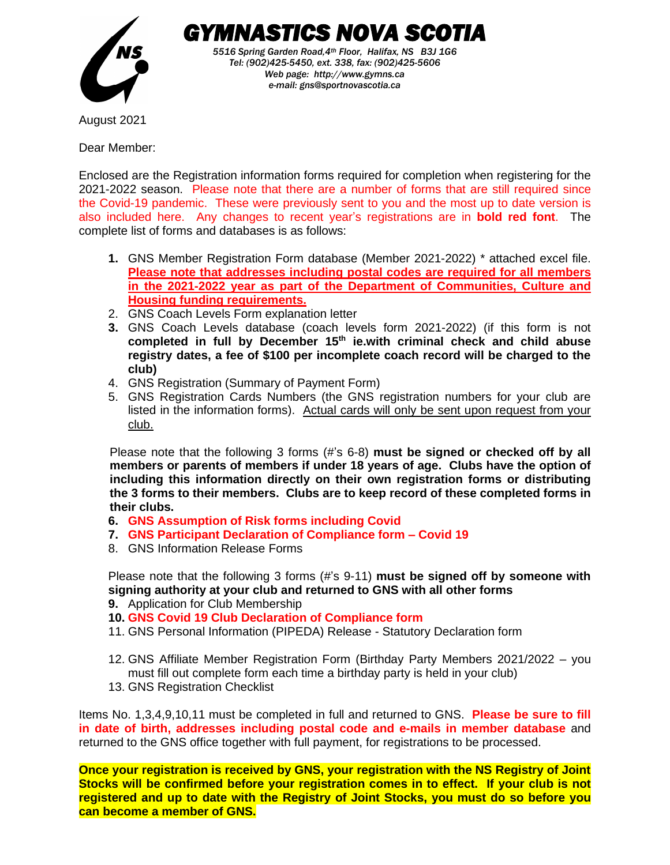

 *GYMNASTICS NOVA SCOTIA 5516 Spring Garden Road,4th Floor, Halifax, NS B3J 1G6 Tel: (902)425-5450, ext. 338, fax: (902)425-5606 Web page: http://www.gymns.ca e-mail: gns@sportnovascotia.ca*

August 2021

Dear Member:

Enclosed are the Registration information forms required for completion when registering for the 2021-2022 season. Please note that there are a number of forms that are still required since the Covid-19 pandemic. These were previously sent to you and the most up to date version is also included here. Any changes to recent year's registrations are in **bold red font**. The complete list of forms and databases is as follows:

- **1.** GNS Member Registration Form database (Member 2021-2022) \* attached excel file. **Please note that addresses including postal codes are required for all members in the 2021-2022 year as part of the Department of Communities, Culture and Housing funding requirements.**
- 2. GNS Coach Levels Form explanation letter
- **3.** GNS Coach Levels database (coach levels form 2021-2022) (if this form is not **completed in full by December 15th ie.with criminal check and child abuse registry dates, a fee of \$100 per incomplete coach record will be charged to the club)**
- 4. GNS Registration (Summary of Payment Form)
- 5. GNS Registration Cards Numbers (the GNS registration numbers for your club are listed in the information forms). Actual cards will only be sent upon request from your club.

Please note that the following 3 forms (#'s 6-8) **must be signed or checked off by all members or parents of members if under 18 years of age. Clubs have the option of including this information directly on their own registration forms or distributing the 3 forms to their members. Clubs are to keep record of these completed forms in their clubs.**

- **6. GNS Assumption of Risk forms including Covid**
- **7. GNS Participant Declaration of Compliance form – Covid 19**
- 8. GNS Information Release Forms

Please note that the following 3 forms (#'s 9-11) **must be signed off by someone with signing authority at your club and returned to GNS with all other forms**

- **9.** Application for Club Membership
- **10. GNS Covid 19 Club Declaration of Compliance form**
- 11. GNS Personal Information (PIPEDA) Release Statutory Declaration form
- 12. GNS Affiliate Member Registration Form (Birthday Party Members 2021/2022 you must fill out complete form each time a birthday party is held in your club)
- 13. GNS Registration Checklist

Items No. 1,3,4,9,10,11 must be completed in full and returned to GNS. **Please be sure to fill in date of birth, addresses including postal code and e-mails in member database** and returned to the GNS office together with full payment, for registrations to be processed.

**Once your registration is received by GNS, your registration with the NS Registry of Joint Stocks will be confirmed before your registration comes in to effect. If your club is not registered and up to date with the Registry of Joint Stocks, you must do so before you can become a member of GNS.**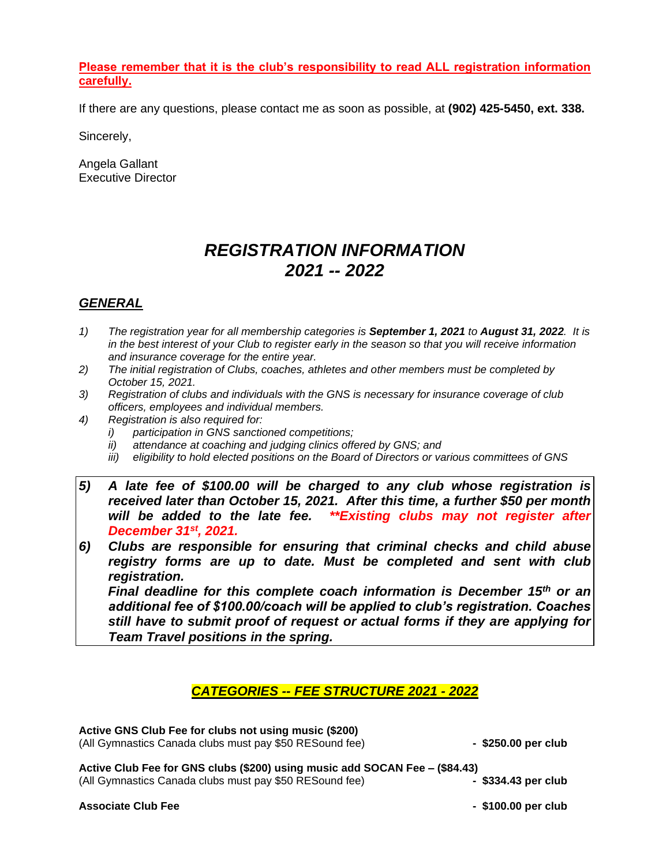#### **Please remember that it is the club's responsibility to read ALL registration information carefully.**

If there are any questions, please contact me as soon as possible, at **(902) 425-5450, ext. 338.**

Sincerely,

Angela Gallant Executive Director

# *REGISTRATION INFORMATION 2021 -- 2022*

# *GENERAL*

- *1) The registration year for all membership categories is September 1, 2021 to August 31, 2022. It is in the best interest of your Club to register early in the season so that you will receive information and insurance coverage for the entire year.*
- *2) The initial registration of Clubs, coaches, athletes and other members must be completed by October 15, 2021.*
- *3) Registration of clubs and individuals with the GNS is necessary for insurance coverage of club officers, employees and individual members.*
- *4) Registration is also required for:*
	- *i) participation in GNS sanctioned competitions;*
	- *ii) attendance at coaching and judging clinics offered by GNS; and*
	- *iii) eligibility to hold elected positions on the Board of Directors or various committees of GNS*
- *5) A late fee of \$100.00 will be charged to any club whose registration is received later than October 15, 2021. After this time, a further \$50 per month will be added to the late fee. \*\*Existing clubs may not register after December 31st, 2021.*
- *6) Clubs are responsible for ensuring that criminal checks and child abuse registry forms are up to date. Must be completed and sent with club registration.*

 *Final deadline for this complete coach information is December 15th or an additional fee of \$100.00/coach will be applied to club's registration. Coaches still have to submit proof of request or actual forms if they are applying for Team Travel positions in the spring.*

# *CATEGORIES -- FEE STRUCTURE 2021 - 2022*

| Active GNS Club Fee for clubs not using music (\$200)<br>(All Gymnastics Canada clubs must pay \$50 RESound fee)                       | - \$250.00 per club   |
|----------------------------------------------------------------------------------------------------------------------------------------|-----------------------|
| Active Club Fee for GNS clubs (\$200) using music add SOCAN Fee - (\$84.43)<br>(All Gymnastics Canada clubs must pay \$50 RESound fee) | $-$ \$334.43 per club |
| <b>Associate Club Fee</b>                                                                                                              | - \$100.00 per club   |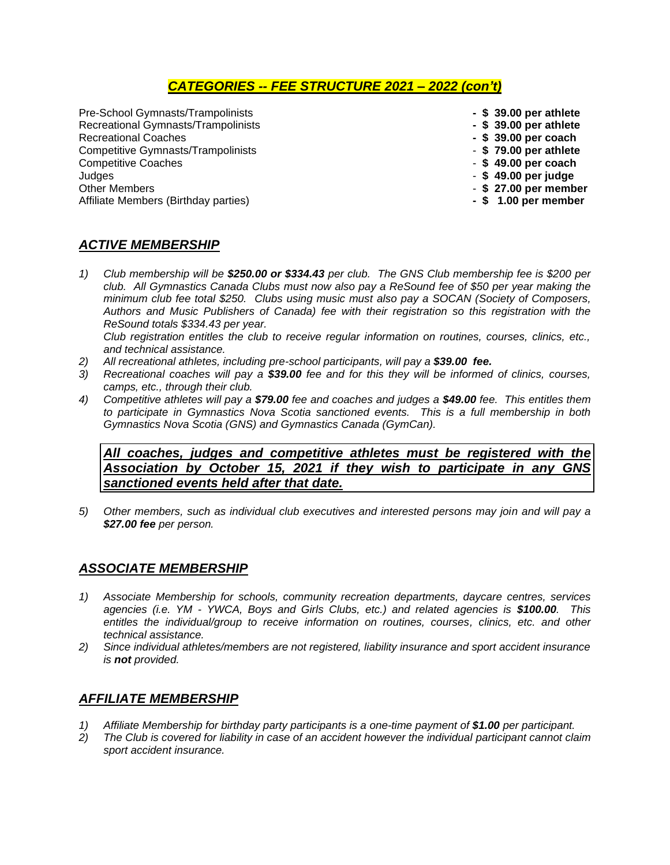# *CATEGORIES -- FEE STRUCTURE 2021 – 2022 (con't)*

Pre-School Gymnasts/Trampolinists **- \$ 39.00 per athlete** Recreational Gymnasts/Trampolinists<br>Recreational Coaches Competitive Gymnasts/Trampolinists - **\$ 79.00 per athlete** Competitive Coaches<br>Judges Judges - **\$ 49.00 per judge** Affiliate Members (Birthday parties)

- 
- 
- 
- Recreational Coaches **- \$ 39.00 per coach**
- 
- 
- 
- Other Members **\$ 27.00 per member**

# *ACTIVE MEMBERSHIP*

- *1) Club membership will be \$250.00 or \$334.43 per club. The GNS Club membership fee is \$200 per club. All Gymnastics Canada Clubs must now also pay a ReSound fee of \$50 per year making the minimum club fee total \$250. Clubs using music must also pay a SOCAN (Society of Composers, Authors and Music Publishers of Canada) fee with their registration so this registration with the ReSound totals \$334.43 per year. Club registration entitles the club to receive regular information on routines, courses, clinics, etc.,*
- *and technical assistance.*
- *2) All recreational athletes, including pre-school participants, will pay a \$39.00 fee. 3) Recreational coaches will pay a \$39.00 fee and for this they will be informed of clinics, courses, camps, etc., through their club.*
- *4) Competitive athletes will pay a \$79.00 fee and coaches and judges a \$49.00 fee. This entitles them to participate in Gymnastics Nova Scotia sanctioned events. This is a full membership in both Gymnastics Nova Scotia (GNS) and Gymnastics Canada (GymCan).*

*All coaches, judges and competitive athletes must be registered with the Association by October 15, 2021 if they wish to participate in any GNS sanctioned events held after that date.*

*5) Other members, such as individual club executives and interested persons may join and will pay a \$27.00 fee per person.*

## *ASSOCIATE MEMBERSHIP*

- *1) Associate Membership for schools, community recreation departments, daycare centres, services agencies (i.e. YM - YWCA, Boys and Girls Clubs, etc.) and related agencies is \$100.00. This entitles the individual/group to receive information on routines, courses, clinics, etc. and other technical assistance.*
- *2) Since individual athletes/members are not registered, liability insurance and sport accident insurance is not provided.*

## *AFFILIATE MEMBERSHIP*

- *1) Affiliate Membership for birthday party participants is a one-time payment of \$1.00 per participant.*
- *2) The Club is covered for liability in case of an accident however the individual participant cannot claim sport accident insurance.*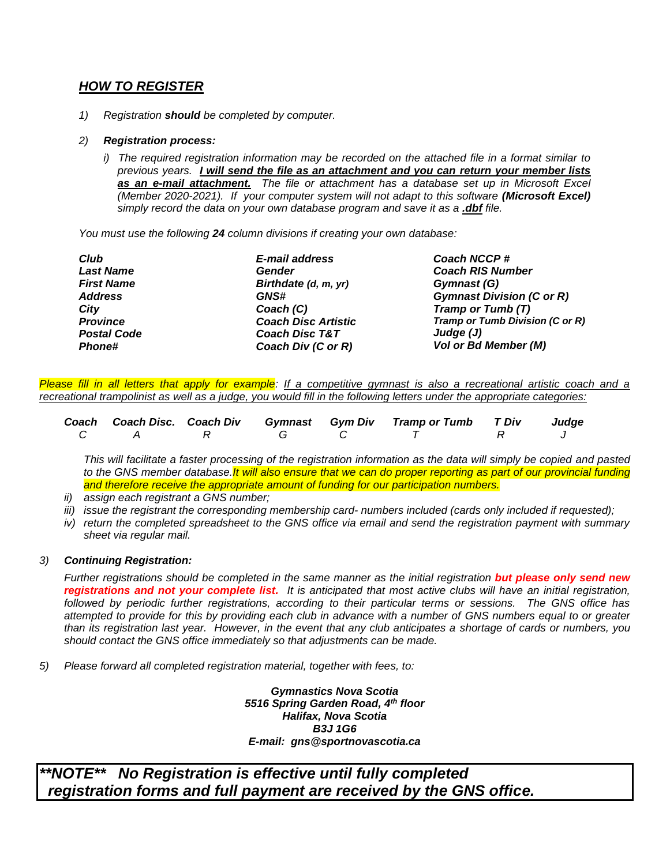# *HOW TO REGISTER*

*1) Registration should be completed by computer.*

#### *2) Registration process:*

*i) The required registration information may be recorded on the attached file in a format similar to previous years. I will send the file as an attachment and you can return your member lists as an e-mail attachment. The file or attachment has a database set up in Microsoft Excel (Member 2020-2021). If your computer system will not adapt to this software (Microsoft Excel) simply record the data on your own database program and save it as a .dbf file.* 

*You must use the following 24 column divisions if creating your own database:* 

| Club               | E-mail address             | Coach NCCP#                      |
|--------------------|----------------------------|----------------------------------|
| <b>Last Name</b>   | Gender                     | <b>Coach RIS Number</b>          |
| <b>First Name</b>  | Birthdate (d, m, yr)       | Gymnast (G)                      |
| <b>Address</b>     | <b>GNS#</b>                | <b>Gymnast Division (C or R)</b> |
| City               | Coach (C)                  | Tramp or Tumb (T)                |
| <b>Province</b>    | <b>Coach Disc Artistic</b> | Tramp or Tumb Division (C or R)  |
| <b>Postal Code</b> | <b>Coach Disc T&amp;T</b>  | Judge $(J)$                      |
| <b>Phone#</b>      | Coach Div (C or R)         | Vol or Bd Member (M)             |

*Please fill in all letters that apply for example: If a competitive gymnast is also a recreational artistic coach and a recreational trampolinist as well as a judge, you would fill in the following letters under the appropriate categories:*

|   |         |  | Coach Coach Disc. Coach Div Gymnast Gym Div Tramp or Tumb T Div Judge |  |
|---|---------|--|-----------------------------------------------------------------------|--|
| C | A R G C |  |                                                                       |  |

*This will facilitate a faster processing of the registration information as the data will simply be copied and pasted to the GNS member database.It will also ensure that we can do proper reporting as part of our provincial funding and therefore receive the appropriate amount of funding for our participation numbers.* 

- *ii) assign each registrant a GNS number;*
- *iii) issue the registrant the corresponding membership card- numbers included (cards only included if requested);*
- *iv) return the completed spreadsheet to the GNS office via email and send the registration payment with summary sheet via regular mail.*

#### *3) Continuing Registration:*

*Further registrations should be completed in the same manner as the initial registration but please only send new registrations and not your complete list. It is anticipated that most active clubs will have an initial registration, followed by periodic further registrations, according to their particular terms or sessions. The GNS office has attempted to provide for this by providing each club in advance with a number of GNS numbers equal to or greater than its registration last year. However, in the event that any club anticipates a shortage of cards or numbers, you should contact the GNS office immediately so that adjustments can be made.*

*5) Please forward all completed registration material, together with fees, to:*

*Gymnastics Nova Scotia 5516 Spring Garden Road, 4th floor Halifax, Nova Scotia B3J 1G6 E-mail: gns@sportnovascotia.ca*

*\*\*NOTE\*\* No Registration is effective until fully completed registration forms and full payment are received by the GNS office.*